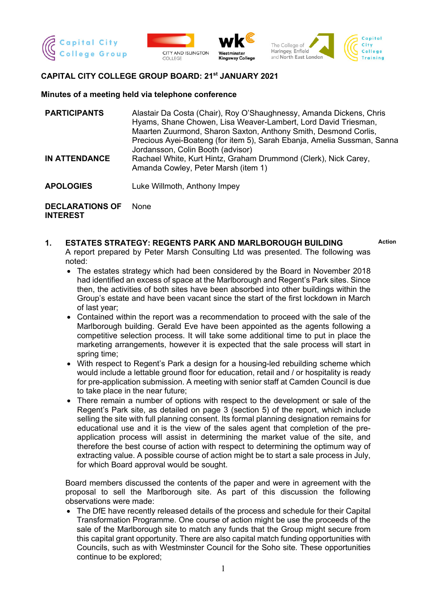







# **CAPITAL CITY COLLEGE GROUP BOARD: 21st JANUARY 2021**

#### **Minutes of a meeting held via telephone conference**

| <b>PARTICIPANTS</b>  | Alastair Da Costa (Chair), Roy O'Shaughnessy, Amanda Dickens, Chris<br>Hyams, Shane Chowen, Lisa Weaver-Lambert, Lord David Triesman,<br>Maarten Zuurmond, Sharon Saxton, Anthony Smith, Desmond Corlis,               |
|----------------------|------------------------------------------------------------------------------------------------------------------------------------------------------------------------------------------------------------------------|
| <b>IN ATTENDANCE</b> | Precious Ayei-Boateng (for item 5), Sarah Ebanja, Amelia Sussman, Sanna<br>Jordansson, Colin Booth (advisor)<br>Rachael White, Kurt Hintz, Graham Drummond (Clerk), Nick Carey,<br>Amanda Cowley, Peter Marsh (item 1) |
| <b>APOLOGIES</b>     | Luke Willmoth, Anthony Impey                                                                                                                                                                                           |

**DECLARATIONS OF INTEREST** None

**1. ESTATES STRATEGY: REGENTS PARK AND MARLBOROUGH BUILDING Action** A report prepared by Peter Marsh Consulting Ltd was presented. The following was noted:

- The estates strategy which had been considered by the Board in November 2018 had identified an excess of space at the Marlborough and Regent's Park sites. Since then, the activities of both sites have been absorbed into other buildings within the Group's estate and have been vacant since the start of the first lockdown in March of last year;
- Contained within the report was a recommendation to proceed with the sale of the Marlborough building. Gerald Eve have been appointed as the agents following a competitive selection process. It will take some additional time to put in place the marketing arrangements, however it is expected that the sale process will start in spring time;
- With respect to Regent's Park a design for a housing-led rebuilding scheme which would include a lettable ground floor for education, retail and / or hospitality is ready for pre-application submission. A meeting with senior staff at Camden Council is due to take place in the near future;
- There remain a number of options with respect to the development or sale of the Regent's Park site, as detailed on page 3 (section 5) of the report, which include selling the site with full planning consent. Its formal planning designation remains for educational use and it is the view of the sales agent that completion of the preapplication process will assist in determining the market value of the site, and therefore the best course of action with respect to determining the optimum way of extracting value. A possible course of action might be to start a sale process in July, for which Board approval would be sought.

Board members discussed the contents of the paper and were in agreement with the proposal to sell the Marlborough site. As part of this discussion the following observations were made:

• The DfE have recently released details of the process and schedule for their Capital Transformation Programme. One course of action might be use the proceeds of the sale of the Marlborough site to match any funds that the Group might secure from this capital grant opportunity. There are also capital match funding opportunities with Councils, such as with Westminster Council for the Soho site. These opportunities continue to be explored;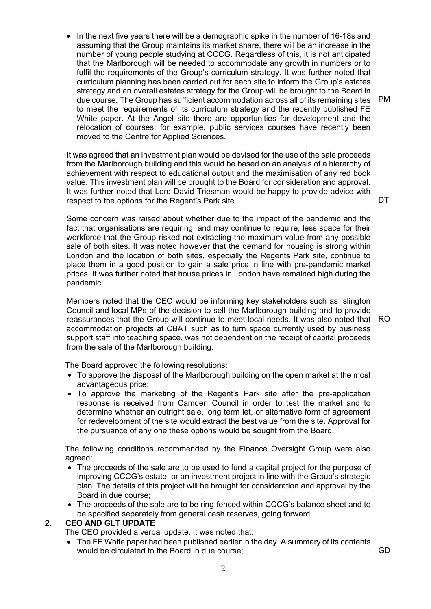• In the next five years there will be a demographic spike in the number of 16-18s and assuming that the Group maintains its market share, there will be an increase in the number of young people studying at CCCG. Regardless of this, it is not anticipated that the Marlborough will be needed to accommodate any growth in numbers or to fulfil the requirements of the Group's curriculum strategy. It was further noted that curriculum planning has been carried out for each site to inform the Group's estates strategy and an overall estates strategy for the Group will be brought to the Board in due course. The Group has sufficient accommodation across all of its remaining sites PM to meet the requirements of its curriculum strategy and the recently published FE White paper. At the Angel site there are opportunities for development and the relocation of courses; for example, public services courses have recently been moved to the Centre for Applied Sciences.

It was agreed that an investment plan would be devised for the use of the sale proceeds from the Marlborough building and this would be based on an analysis of a hierarchy of achievement with respect to educational output and the maximisation of any red book value. This investment plan will be brought to the Board for consideration and approval. It was further noted that Lord David Triesman would be happy to provide advice with respect to the options for the Regent's Park site.

Some concern was raised about whether due to the impact of the pandemic and the fact that organisations are requiring, and may continue to require, less space for their workforce that the Group risked not extracting the maximum value from any possible sale of both sites. It was noted however that the demand for housing is strong within London and the location of both sites, especially the Regents Park site, continue to place them in a good position to gain a sale price in line with pre-pandemic market prices. It was further noted that house prices in London have remained high during the pandemic.

Members noted that the CEO would be informing key stakeholders such as Islington Council and local MPs of the decision to sell the Marlborough building and to provide reassurances that the Group will continue to meet local needs. It was also noted that RO accommodation projects at CBAT such as to turn space currently used by business support staff into teaching space, was not dependent on the receipt of capital proceeds from the sale of the Marlborough building.

The Board approved the following resolutions:

- To approve the disposal of the Marlborough building on the open market at the most advantageous price;
- To approve the marketing of the Regent's Park site after the pre-application response is received from Camden Council in order to test the market and to determine whether an outright sale, long term let, or alternative form of agreement for redevelopment of the site would extract the best value from the site. Approval for the pursuance of any one these options would be sought from the Board.

The following conditions recommended by the Finance Oversight Group were also agreed:

- The proceeds of the sale are to be used to fund a capital project for the purpose of improving CCCG's estate, or an investment project in line with the Group's strategic plan. The details of this project will be brought for consideration and approval by the Board in due course;
- The proceeds of the sale are to be ring-fenced within CCCG's balance sheet and to be specified separately from general cash reserves, going forward.

### **2. CEO AND GLT UPDATE**

The CEO provided a verbal update. It was noted that:

• The FE White paper had been published earlier in the day. A summary of its contents would be circulated to the Board in due course: GD GD

**DT**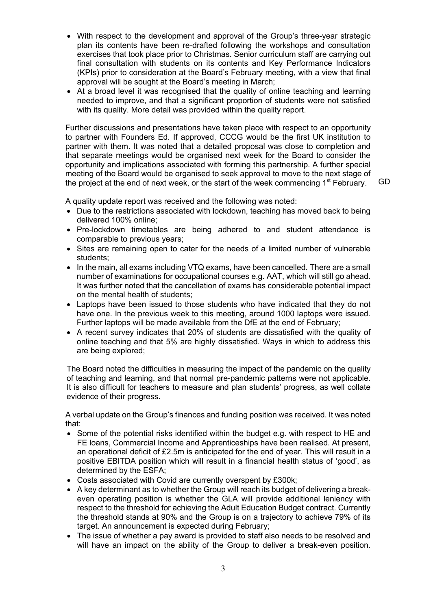- With respect to the development and approval of the Group's three-year strategic plan its contents have been re-drafted following the workshops and consultation exercises that took place prior to Christmas. Senior curriculum staff are carrying out final consultation with students on its contents and Key Performance Indicators (KPIs) prior to consideration at the Board's February meeting, with a view that final approval will be sought at the Board's meeting in March;
- At a broad level it was recognised that the quality of online teaching and learning needed to improve, and that a significant proportion of students were not satisfied with its quality. More detail was provided within the quality report.

Further discussions and presentations have taken place with respect to an opportunity to partner with Founders Ed. If approved, CCCG would be the first UK institution to partner with them. It was noted that a detailed proposal was close to completion and that separate meetings would be organised next week for the Board to consider the opportunity and implications associated with forming this partnership. A further special meeting of the Board would be organised to seek approval to move to the next stage of the project at the end of next week, or the start of the week commencing 1<sup>st</sup> February.

GD

A quality update report was received and the following was noted:

- Due to the restrictions associated with lockdown, teaching has moved back to being delivered 100% online;
- Pre-lockdown timetables are being adhered to and student attendance is comparable to previous years;
- Sites are remaining open to cater for the needs of a limited number of vulnerable students;
- In the main, all exams including VTQ exams, have been cancelled. There are a small number of examinations for occupational courses e.g. AAT, which will still go ahead. It was further noted that the cancellation of exams has considerable potential impact on the mental health of students;
- Laptops have been issued to those students who have indicated that they do not have one. In the previous week to this meeting, around 1000 laptops were issued. Further laptops will be made available from the DfE at the end of February;
- A recent survey indicates that 20% of students are dissatisfied with the quality of online teaching and that 5% are highly dissatisfied. Ways in which to address this are being explored;

The Board noted the difficulties in measuring the impact of the pandemic on the quality of teaching and learning, and that normal pre-pandemic patterns were not applicable. It is also difficult for teachers to measure and plan students' progress, as well collate evidence of their progress.

A verbal update on the Group's finances and funding position was received. It was noted that:

- Some of the potential risks identified within the budget e.g. with respect to HE and FE loans, Commercial Income and Apprenticeships have been realised. At present, an operational deficit of £2.5m is anticipated for the end of year. This will result in a positive EBITDA position which will result in a financial health status of 'good', as determined by the ESFA;
- Costs associated with Covid are currently overspent by £300k;
- A key determinant as to whether the Group will reach its budget of delivering a breakeven operating position is whether the GLA will provide additional leniency with respect to the threshold for achieving the Adult Education Budget contract. Currently the threshold stands at 90% and the Group is on a trajectory to achieve 79% of its target. An announcement is expected during February;
- The issue of whether a pay award is provided to staff also needs to be resolved and will have an impact on the ability of the Group to deliver a break-even position.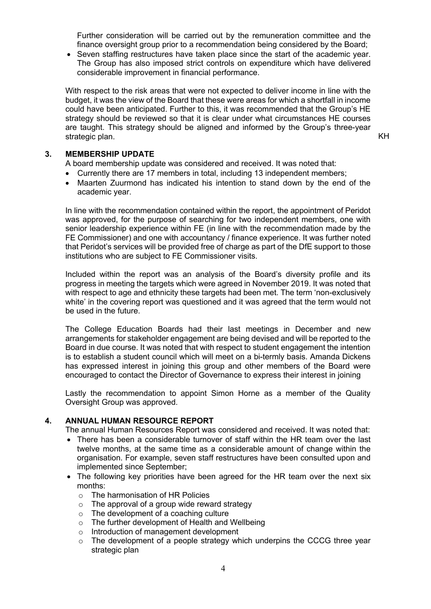Further consideration will be carried out by the remuneration committee and the finance oversight group prior to a recommendation being considered by the Board;

• Seven staffing restructures have taken place since the start of the academic year. The Group has also imposed strict controls on expenditure which have delivered considerable improvement in financial performance.

With respect to the risk areas that were not expected to deliver income in line with the budget, it was the view of the Board that these were areas for which a shortfall in income could have been anticipated. Further to this, it was recommended that the Group's HE strategy should be reviewed so that it is clear under what circumstances HE courses are taught. This strategy should be aligned and informed by the Group's three-year strategic plan. KH

### **3. MEMBERSHIP UPDATE**

A board membership update was considered and received. It was noted that:

- Currently there are 17 members in total, including 13 independent members;
- Maarten Zuurmond has indicated his intention to stand down by the end of the academic year.

In line with the recommendation contained within the report, the appointment of Peridot was approved, for the purpose of searching for two independent members, one with senior leadership experience within FE (in line with the recommendation made by the FE Commissioner) and one with accountancy / finance experience. It was further noted that Peridot's services will be provided free of charge as part of the DfE support to those institutions who are subject to FE Commissioner visits.

Included within the report was an analysis of the Board's diversity profile and its progress in meeting the targets which were agreed in November 2019. It was noted that with respect to age and ethnicity these targets had been met. The term 'non-exclusively white' in the covering report was questioned and it was agreed that the term would not be used in the future.

The College Education Boards had their last meetings in December and new arrangements for stakeholder engagement are being devised and will be reported to the Board in due course. It was noted that with respect to student engagement the intention is to establish a student council which will meet on a bi-termly basis. Amanda Dickens has expressed interest in joining this group and other members of the Board were encouraged to contact the Director of Governance to express their interest in joining

Lastly the recommendation to appoint Simon Horne as a member of the Quality Oversight Group was approved.

## **4. ANNUAL HUMAN RESOURCE REPORT**

The annual Human Resources Report was considered and received. It was noted that:

- There has been a considerable turnover of staff within the HR team over the last twelve months, at the same time as a considerable amount of change within the organisation. For example, seven staff restructures have been consulted upon and implemented since September;
- The following key priorities have been agreed for the HR team over the next six months:
	- o The harmonisation of HR Policies
	- $\circ$  The approval of a group wide reward strategy
	- o The development of a coaching culture
	- o The further development of Health and Wellbeing
	- o Introduction of management development
	- o The development of a people strategy which underpins the CCCG three year strategic plan